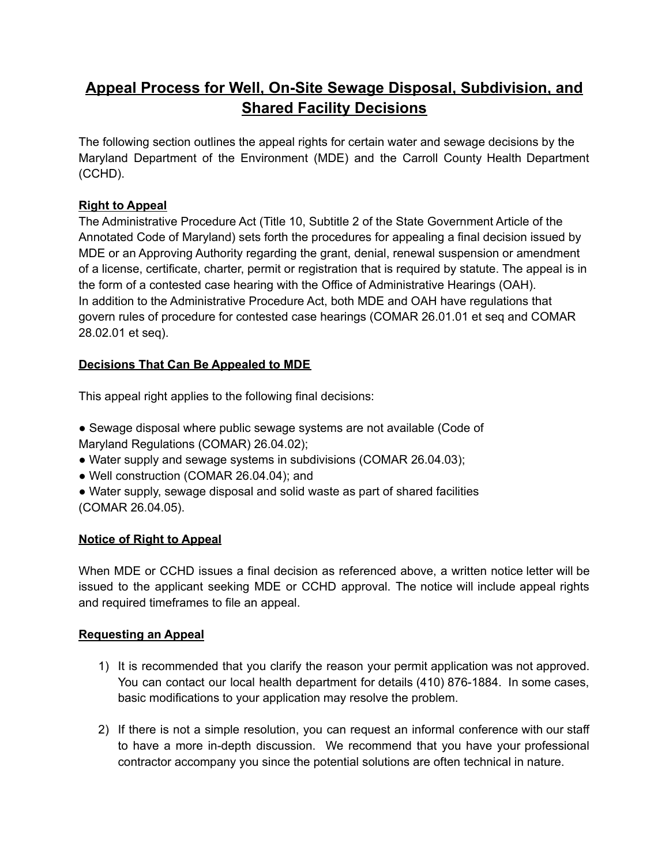# **Appeal Process for Well, On-Site Sewage Disposal, Subdivision, and Shared Facility Decisions**

The following section outlines the appeal rights for certain water and sewage decisions by the Maryland Department of the Environment (MDE) and the Carroll County Health Department (CCHD).

## **Right to Appeal**

The Administrative Procedure Act (Title 10, Subtitle 2 of the State Government Article of the Annotated Code of Maryland) sets forth the procedures for appealing a final decision issued by MDE or an Approving Authority regarding the grant, denial, renewal suspension or amendment of a license, certificate, charter, permit or registration that is required by statute. The appeal is in the form of a contested case hearing with the Office of Administrative Hearings (OAH). In addition to the Administrative Procedure Act, both MDE and OAH have regulations that govern rules of procedure for contested case hearings (COMAR 26.01.01 et seq and COMAR 28.02.01 et seq).

## **Decisions That Can Be Appealed to MDE**

This appeal right applies to the following final decisions:

- Sewage disposal where public sewage systems are not available (Code of Maryland Regulations (COMAR) 26.04.02);
- Water supply and sewage systems in subdivisions (COMAR 26.04.03);
- Well construction (COMAR 26.04.04); and
- Water supply, sewage disposal and solid waste as part of shared facilities (COMAR 26.04.05).

### **Notice of Right to Appeal**

When MDE or CCHD issues a final decision as referenced above, a written notice letter will be issued to the applicant seeking MDE or CCHD approval. The notice will include appeal rights and required timeframes to file an appeal.

### **Requesting an Appeal**

- 1) It is recommended that you clarify the reason your permit application was not approved. You can contact our local health department for details (410) 876-1884. In some cases, basic modifications to your application may resolve the problem.
- 2) If there is not a simple resolution, you can request an informal conference with our staff to have a more in-depth discussion. We recommend that you have your professional contractor accompany you since the potential solutions are often technical in nature.